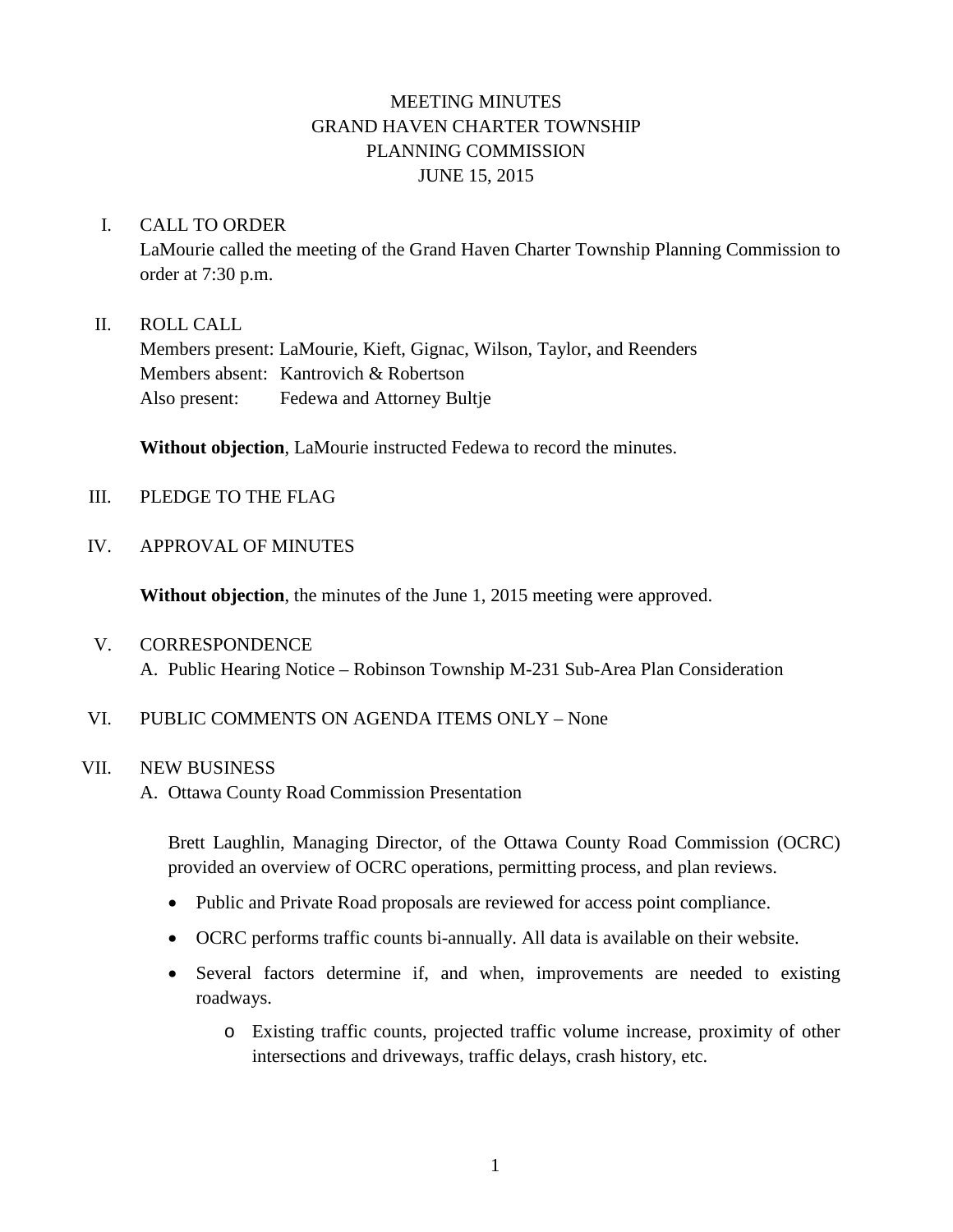# MEETING MINUTES GRAND HAVEN CHARTER TOWNSHIP PLANNING COMMISSION JUNE 15, 2015

### I. CALL TO ORDER

LaMourie called the meeting of the Grand Haven Charter Township Planning Commission to order at 7:30 p.m.

### II. ROLL CALL

Members present: LaMourie, Kieft, Gignac, Wilson, Taylor, and Reenders Members absent: Kantrovich & Robertson Also present: Fedewa and Attorney Bultje

**Without objection**, LaMourie instructed Fedewa to record the minutes.

- III. PLEDGE TO THE FLAG
- IV. APPROVAL OF MINUTES

**Without objection**, the minutes of the June 1, 2015 meeting were approved.

- V. CORRESPONDENCE A. Public Hearing Notice – Robinson Township M-231 Sub-Area Plan Consideration
- VI. PUBLIC COMMENTS ON AGENDA ITEMS ONLY None

#### VII. NEW BUSINESS

A. Ottawa County Road Commission Presentation

Brett Laughlin, Managing Director, of the Ottawa County Road Commission (OCRC) provided an overview of OCRC operations, permitting process, and plan reviews.

- Public and Private Road proposals are reviewed for access point compliance.
- OCRC performs traffic counts bi-annually. All data is available on their website.
- Several factors determine if, and when, improvements are needed to existing roadways.
	- o Existing traffic counts, projected traffic volume increase, proximity of other intersections and driveways, traffic delays, crash history, etc.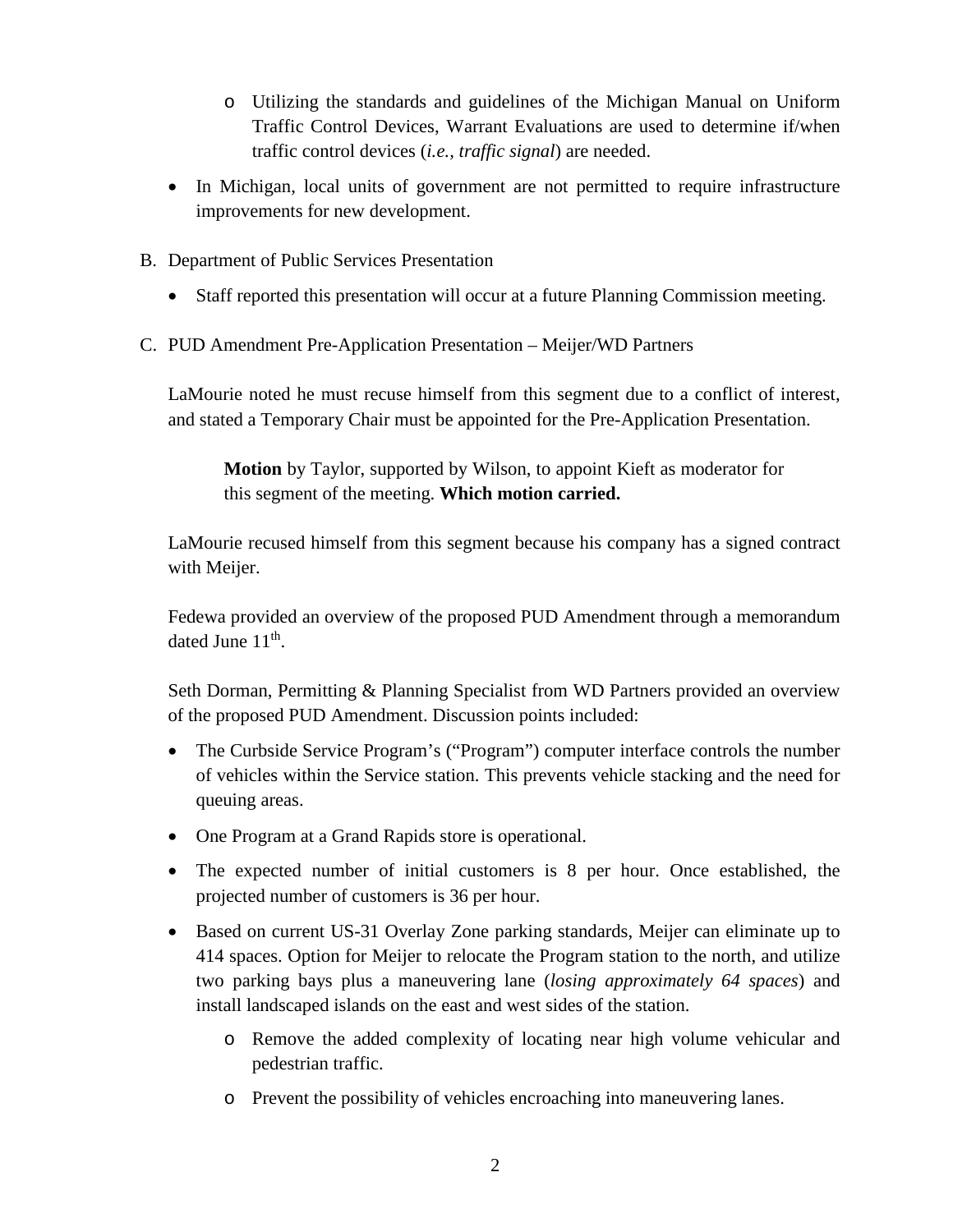- o Utilizing the standards and guidelines of the Michigan Manual on Uniform Traffic Control Devices, Warrant Evaluations are used to determine if/when traffic control devices (*i.e., traffic signal*) are needed.
- In Michigan, local units of government are not permitted to require infrastructure improvements for new development.
- B. Department of Public Services Presentation
	- Staff reported this presentation will occur at a future Planning Commission meeting.
- C. PUD Amendment Pre-Application Presentation Meijer/WD Partners

LaMourie noted he must recuse himself from this segment due to a conflict of interest, and stated a Temporary Chair must be appointed for the Pre-Application Presentation.

**Motion** by Taylor, supported by Wilson, to appoint Kieft as moderator for this segment of the meeting. **Which motion carried.**

LaMourie recused himself from this segment because his company has a signed contract with Meijer.

Fedewa provided an overview of the proposed PUD Amendment through a memorandum dated June 11<sup>th</sup>.

Seth Dorman, Permitting & Planning Specialist from WD Partners provided an overview of the proposed PUD Amendment. Discussion points included:

- The Curbside Service Program's ("Program") computer interface controls the number of vehicles within the Service station. This prevents vehicle stacking and the need for queuing areas.
- One Program at a Grand Rapids store is operational.
- The expected number of initial customers is 8 per hour. Once established, the projected number of customers is 36 per hour.
- Based on current US-31 Overlay Zone parking standards, Meijer can eliminate up to 414 spaces. Option for Meijer to relocate the Program station to the north, and utilize two parking bays plus a maneuvering lane (*losing approximately 64 spaces*) and install landscaped islands on the east and west sides of the station.
	- o Remove the added complexity of locating near high volume vehicular and pedestrian traffic.
	- o Prevent the possibility of vehicles encroaching into maneuvering lanes.